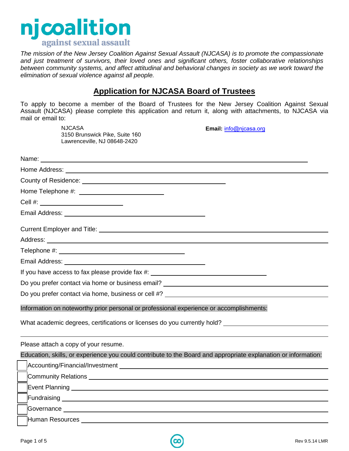

*The mission of the New Jersey Coalition Against Sexual Assault (NJCASA) is to promote the compassionate and just treatment of survivors, their loved ones and significant others, foster collaborative relationships between community systems, and affect attitudinal and behavioral changes in society as we work toward the elimination of sexual violence against all people.*

### **Application for NJCASA Board of Trustees**

To apply to become a member of the Board of Trustees for the New Jersey Coalition Against Sexual Assault (NJCASA) please complete this application and return it, along with attachments, to NJCASA via mail or email to:

NJCASA **Email:** [info@njcasa.org](mailto:info@njcasa.org) 3150 Brunswick Pike, Suite 160 Lawrenceville, NJ 08648-2420 Name: when the contract of the contract of the contract of the contract of the contract of the contract of the contract of the contract of the contract of the contract of the contract of the contract of the contract of the Home Address: County of Residence: Home Telephone #: Cell #: Email Address: No. 2006. The Contract of The Contract of The Contract of The Contract of The Contract of The Contract of The Contract of The Contract of The Contract of The Contract of The Contract of The Contract of The C Current Employer and Title: Address: **Address: Address: Address: Address: Address: Address: Address: Address: Address: Address: Address: Address: Address: Address: Address: Address: Address: Address: Address: Add** Telephone #: Email Address: If you have access to fax please provide fax #: \_\_\_\_\_\_\_\_\_\_\_\_\_\_\_\_\_\_\_\_\_\_\_\_\_\_\_\_\_\_\_\_\_ Do you prefer contact via home or business email? Do you prefer contact via home, business or cell #? Information on noteworthy prior personal or professional experience or accomplishments: What academic degrees, certifications or licenses do you currently hold?

Please attach a copy of your resume.

Education, skills, or experience you could contribute to the Board and appropriate explanation or information: [ ] Accounting/Financial/Investment **Community Relations Community Relations Event Planning Contract Planning** [ ] Fundraising [ ] Governance Human Resources **Land Accepted Accepts** Human Resources

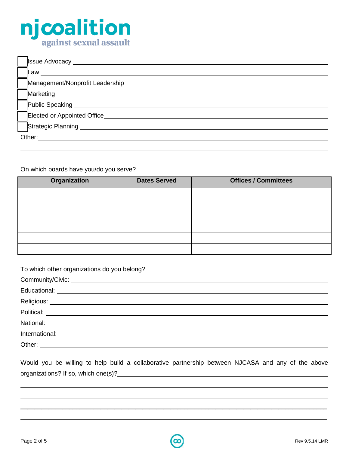# njcoalition

| <b>Issue Advocacy</b> _____        |  |  |  |  |
|------------------------------------|--|--|--|--|
| Law                                |  |  |  |  |
| Management/Nonprofit Leadership    |  |  |  |  |
| Marketing ___________              |  |  |  |  |
| Public Speaking _________          |  |  |  |  |
| <b>Elected or Appointed Office</b> |  |  |  |  |
| Strategic Planning _______         |  |  |  |  |
| Other:                             |  |  |  |  |
|                                    |  |  |  |  |

#### On which boards have you/do you serve?

| Organization | <b>Dates Served</b> | <b>Offices / Committees</b> |
|--------------|---------------------|-----------------------------|
|              |                     |                             |
|              |                     |                             |
|              |                     |                             |
|              |                     |                             |
|              |                     |                             |
|              |                     |                             |

| To which other organizations do you belong? |  |  |  |  |
|---------------------------------------------|--|--|--|--|
|                                             |  |  |  |  |
|                                             |  |  |  |  |
|                                             |  |  |  |  |
|                                             |  |  |  |  |
|                                             |  |  |  |  |
|                                             |  |  |  |  |
|                                             |  |  |  |  |

|                                     |  |  |  | Would you be willing to help build a collaborative partnership between NJCASA and any of the above |  |  |  |  |
|-------------------------------------|--|--|--|----------------------------------------------------------------------------------------------------|--|--|--|--|
| organizations? If so, which one(s)? |  |  |  |                                                                                                    |  |  |  |  |

\_\_\_\_\_\_\_\_\_\_\_\_\_\_\_\_\_\_\_\_\_\_\_\_\_\_\_\_\_\_\_\_\_\_\_\_\_\_\_\_\_\_\_\_\_\_\_\_\_\_\_\_\_\_\_\_\_\_\_\_\_\_\_\_\_\_\_\_\_\_\_\_\_\_\_\_\_\_\_\_\_\_\_\_\_\_\_\_  $\_$ 

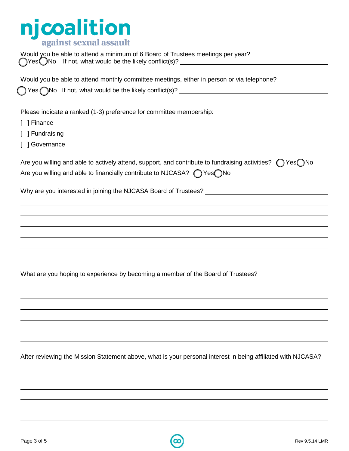## njcoalition

Would you be able to attend a minimum of 6 Board of Trustees meetings per year?  $\bigcap$ Yes $\bigcap$ No If not, what would be the likely conflict(s)?

| Would you be able to attend monthly committee meetings, either in person or via telephone?<br>◯ Yes ◯No If not, what would be the likely conflict(s)? ________________________                                         |
|------------------------------------------------------------------------------------------------------------------------------------------------------------------------------------------------------------------------|
| Please indicate a ranked (1-3) preference for committee membership:<br>[ ] Finance<br>[ ] Fundraising<br>[ ] Governance                                                                                                |
| Are you willing and able to actively attend, support, and contribute to fundraising activities? $\bigcap$ Yes $\bigcap$ No<br>Are you willing and able to financially contribute to NJCASA? $\bigcap$ Yes $\bigcap$ No |
|                                                                                                                                                                                                                        |
|                                                                                                                                                                                                                        |
|                                                                                                                                                                                                                        |
|                                                                                                                                                                                                                        |
|                                                                                                                                                                                                                        |
| What are you hoping to experience by becoming a member of the Board of Trustees?                                                                                                                                       |
|                                                                                                                                                                                                                        |
|                                                                                                                                                                                                                        |
|                                                                                                                                                                                                                        |
|                                                                                                                                                                                                                        |

After reviewing the Mission Statement above, what is your personal interest in being affiliated with NJCASA?

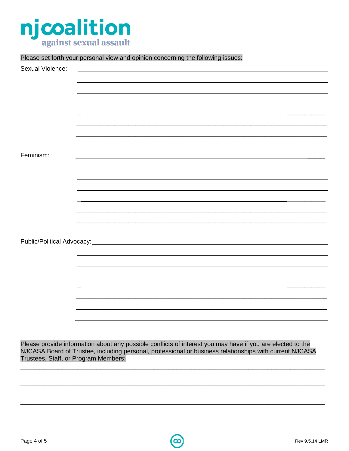

Please set forth your personal view and opinion concerning the following issues:

| Sexual Violence:                     |                                                                                                            |
|--------------------------------------|------------------------------------------------------------------------------------------------------------|
|                                      |                                                                                                            |
|                                      |                                                                                                            |
|                                      |                                                                                                            |
|                                      |                                                                                                            |
|                                      |                                                                                                            |
|                                      |                                                                                                            |
|                                      |                                                                                                            |
| Feminism:                            |                                                                                                            |
|                                      |                                                                                                            |
|                                      |                                                                                                            |
|                                      |                                                                                                            |
|                                      |                                                                                                            |
|                                      |                                                                                                            |
|                                      |                                                                                                            |
|                                      |                                                                                                            |
|                                      |                                                                                                            |
|                                      |                                                                                                            |
|                                      |                                                                                                            |
|                                      |                                                                                                            |
|                                      |                                                                                                            |
|                                      |                                                                                                            |
|                                      |                                                                                                            |
|                                      |                                                                                                            |
|                                      |                                                                                                            |
|                                      |                                                                                                            |
|                                      | Please provide information about any possible conflicts of interest you may have if you are elected to the |
| Trustees, Staff, or Program Members: | NJCASA Board of Trustee, including personal, professional or business relationships with current NJCASA    |
|                                      |                                                                                                            |
|                                      |                                                                                                            |
|                                      |                                                                                                            |
|                                      |                                                                                                            |
|                                      |                                                                                                            |
|                                      |                                                                                                            |